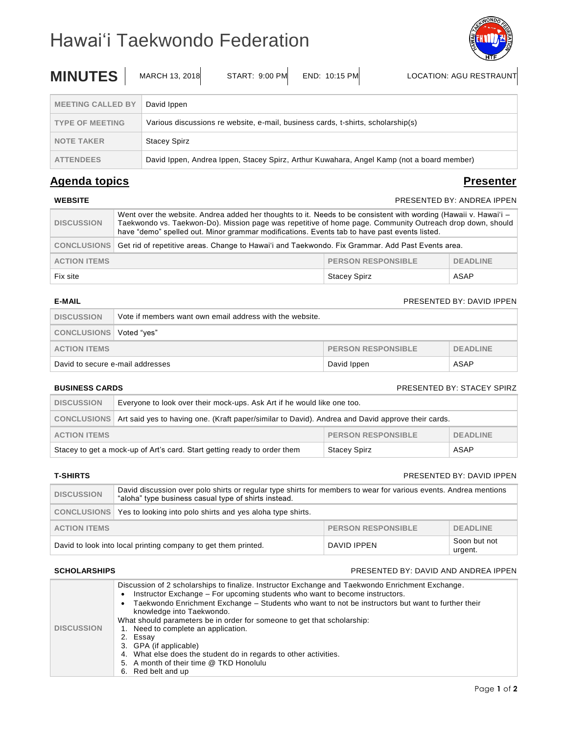# Hawai'i Taekwondo Federation



| <b>MINUTES</b>                                                                                                | MARCH 13, 2018<br>START: 9:00 PM<br>END: 10:15 PM<br><b>LOCATION: AGU RESTRAUNT</b> |  |  |
|---------------------------------------------------------------------------------------------------------------|-------------------------------------------------------------------------------------|--|--|
| <b>MEETING CALLED BY</b>                                                                                      | David Ippen                                                                         |  |  |
| <b>TYPE OF MEETING</b>                                                                                        | Various discussions re website, e-mail, business cards, t-shirts, scholarship(s)    |  |  |
| <b>NOTE TAKER</b>                                                                                             | <b>Stacey Spirz</b>                                                                 |  |  |
| David Ippen, Andrea Ippen, Stacey Spirz, Arthur Kuwahara, Angel Kamp (not a board member)<br><b>ATTENDEES</b> |                                                                                     |  |  |

# **Agenda topics Presenter**

# **PRESENTED BY: ANDREA IPPEN**

| <b>DISCUSSION</b>                                                   | Went over the website. Andrea added her thoughts to it. Needs to be consistent with wording (Hawaii v. Hawai'i -<br>Taekwondo vs. Taekwon-Do). Mission page was repetitive of home page. Community Outreach drop down, should<br>have "demo" spelled out. Minor grammar modifications. Events tab to have past events listed. |                     |      |
|---------------------------------------------------------------------|-------------------------------------------------------------------------------------------------------------------------------------------------------------------------------------------------------------------------------------------------------------------------------------------------------------------------------|---------------------|------|
|                                                                     | CONCLUSIONS   Get rid of repetitive areas. Change to Hawai'i and Taekwondo. Fix Grammar. Add Past Events area.                                                                                                                                                                                                                |                     |      |
| <b>PERSON RESPONSIBLE</b><br><b>ACTION ITEMS</b><br><b>DEADLINE</b> |                                                                                                                                                                                                                                                                                                                               |                     |      |
| Fix site                                                            |                                                                                                                                                                                                                                                                                                                               | <b>Stacey Spirz</b> | ASAP |

# **E-MAIL E-MAIL PRESENTED BY: DAVID IPPEN**

| <b>DISCUSSION</b>                                                   | Vote if members want own email address with the website. |             |      |
|---------------------------------------------------------------------|----------------------------------------------------------|-------------|------|
| CONCLUSIONS   Voted "yes"                                           |                                                          |             |      |
| <b>PERSON RESPONSIBLE</b><br><b>ACTION ITEMS</b><br><b>DEADLINE</b> |                                                          |             |      |
| David to secure e-mail addresses                                    |                                                          | David Ippen | ASAP |

# **BUSINESS CARDS** PRESENTED BY: STACEY SPIRZ

| <b>DISCUSSION</b>                                                   | Everyone to look over their mock-ups. Ask Art if he would like one too.                                         |                     |      |
|---------------------------------------------------------------------|-----------------------------------------------------------------------------------------------------------------|---------------------|------|
|                                                                     | CONCLUSIONS   Art said yes to having one. (Kraft paper/similar to David). Andrea and David approve their cards. |                     |      |
| <b>PERSON RESPONSIBLE</b><br><b>DEADLINE</b><br><b>ACTION ITEMS</b> |                                                                                                                 |                     |      |
|                                                                     | Stacey to get a mock-up of Art's card. Start getting ready to order them                                        | <b>Stacey Spirz</b> | ASAP |

## **T-SHIRTS** PRESENTED BY: DAVID IPPEN

| <b>DISCUSSION</b>                                              | David discussion over polo shirts or regular type shirts for members to wear for various events. Andrea mentions<br>"aloha" type business casual type of shirts instead. |                 |                         |
|----------------------------------------------------------------|--------------------------------------------------------------------------------------------------------------------------------------------------------------------------|-----------------|-------------------------|
|                                                                | CONCLUSIONS   Yes to looking into polo shirts and yes aloha type shirts.                                                                                                 |                 |                         |
| <b>PERSON RESPONSIBLE</b><br><b>ACTION ITEMS</b>               |                                                                                                                                                                          | <b>DEADLINE</b> |                         |
| David to look into local printing company to get them printed. |                                                                                                                                                                          | DAVID IPPEN     | Soon but not<br>urgent. |

### **SCHOLARSHIPS** PRESENTED BY: DAVID AND ANDREA IPPEN

| <b>DISCUSSION</b> | Discussion of 2 scholarships to finalize. Instructor Exchange and Taekwondo Enrichment Exchange.<br>Instructor Exchange - For upcoming students who want to become instructors.<br>Taekwondo Enrichment Exchange - Students who want to not be instructors but want to further their<br>knowledge into Taekwondo.<br>What should parameters be in order for someone to get that scholarship:<br>1. Need to complete an application.<br>2. Essay<br>3. GPA (if applicable)<br>4. What else does the student do in regards to other activities.<br>5. A month of their time @ TKD Honolulu<br>6. Red belt and up |
|-------------------|----------------------------------------------------------------------------------------------------------------------------------------------------------------------------------------------------------------------------------------------------------------------------------------------------------------------------------------------------------------------------------------------------------------------------------------------------------------------------------------------------------------------------------------------------------------------------------------------------------------|